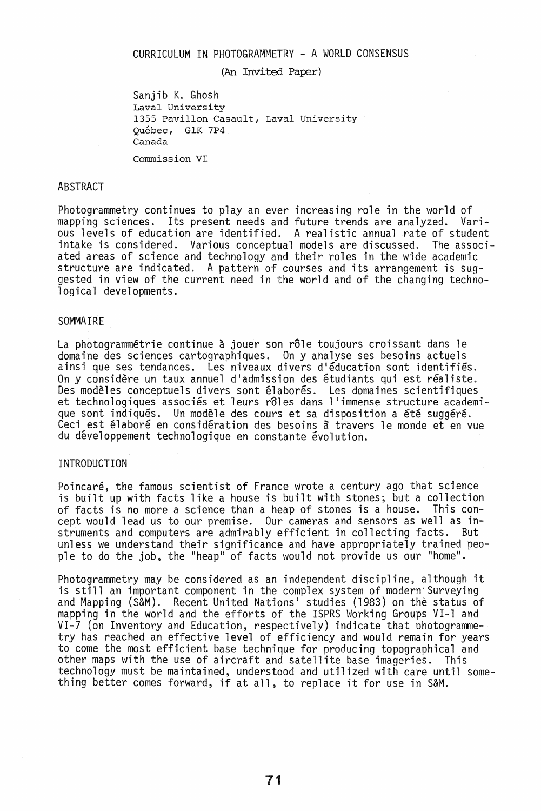## CURRICULUM IN PHOTOGRAMMETRY - A WORLD CONSENSUS

(An Invited Paper)

Sanjib K. Ghosh Laval University 1355 PavilIon Casault, Laval University Quebec, GIK 7P4 Canada

Commission VI

#### ABSTRACT

Photogrammetry continues to play an ever increasing role in the world of mapping sciences. Its present needs and future trends are analyzed. Various levels of education are identified. A realistic annual rate of student<br>intake is considered. Various conceptual models are discussed. The associintake is considered. Various conceptual models are discussed. ated areas of science and technology and their roles in the wide academic structure are indicated. A pattern of courses and its arrangement is suggested in view of the current need in the world and of the changing technological developments.

## SOMMAIRE

La photogrammétrie continue à jouer son rôle toujours croissant dans le domaine des sciences cartographiques. On y analyse ses besoins actuels ainsi que ses tendances. Les niveaux divers d'éducation sont identifiés. On y considère un taux annuel d'admission des étudiants qui est réaliste. Des modèles conceptuels divers sont élaborés. Les domaines scientifiques et technologiques associés et leurs rôles dans l'immense structure academi-<br>que sont indiqués. Un modèle des cours et sa disposition a été suggéré. Ceci est élaboré en considération des besoins à travers le monde et en vue du développement technologique en constante évolution.

# INTRODUCTION

Poincare, the famous scientist of France wrote a century ago that science is built up with facts like a house is built with stones; but a collection of facts is no more a science than a heap of stones is a house. cept would lead us to our premise. Our cameras and sensors as well as instruments and computers are admirably efficient in collecting facts. But unless we understand their significance and have appropriately trained people to do the job, the "heap" of facts would not provide us our "home".

Photogrammetry may be considered as an independent discipline, although it<br>is still an important component in the complex system of modern'Surveying and Mapping (S&M). Recent United Nations' studies (1983) on the status of mapping in the world and the efforts of the ISPRS Working Groups VI-l and VI-7 (on Inventory and Education, respectively) indicate that photogrammetry has reached an effective level of efficiency and would remain for years to come the most efficient base technique for producing topographical and other maps with the use of aircraft and satellite base imageries. technology must be maintained, understood and utilized with care until something better comes forward, if at all, to replace it for use in S&M.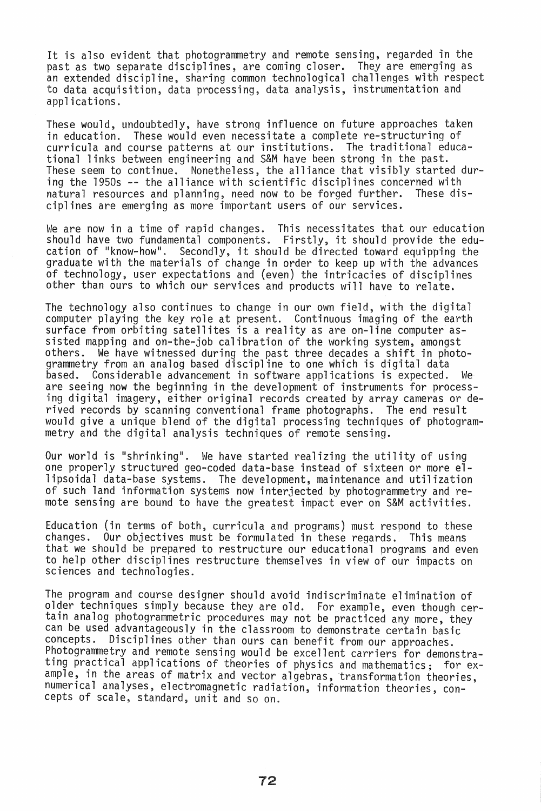It is also evident that photogrammetry and remote sensing, regarded in the past as two separate disciplines, are coming closer. They are emerging as past as two separate disciplines, are coming closer. an extended discipline, sharing common technological challenges with respect to data acquisition, data processing, data analysis, instrumentation and applications.

These would, undoubtedly, have strong influence on future approaches taken in education. These would even necessitate a complete re-structuring of curricula and course patterns at our institutions. The traditional educational links between engineering and S&M have been strong in the past. These seem to continue. Nonetheless, the alliance that visibly started during the 1950s -- the alliance with scientific disciplines concerned with<br>natural resources and planning, need now to be forged further. These disnatural resources and planning, need now to be forged further. ciplines are emerging as more important users of our services.

We are now in a time of rapid changes. This necessitates that our education should have two fundamental components. Firstly, it should provide the education of "know-how". • Secondly, it should be directed toward equipping the graduate with the materials of change in order to keep up with the advances of technology, user expectations and (even) the intricacies of disciplines other than ours to which our services and products will have to relate.

The technology also continues to change in our own field, with the digital computer playing the key role at present. Continuous imaging of the earth surface from orbiting satellites is a reality as are on-line computer assisted mapping and on-the-job calibration of the working system, amongst others. We have witnessed during the past three decades a shift in photogrammetry from an analog based discipline to one which is digital data based. Considerable advancement in software applications is expected. We are seeing now the beginning in the development of instruments for processing digital imagery, either original records created by array cameras or derived records by scanning conventional frame photographs. The end result would give a unique blend of the digital processing techniques of photogrammetry and the digital analysis techniques of remote sensing.

Our world is "shrinking". We have started realizing the utility of using one properly structured geo-coded data-base instead of sixteen or more ellipsoidal data-base systems. The development, maintenance and utilization of such land information systems now interjected by photogrammetry and remote sensing are bound to have the greatest impact ever on S&M activities.

Education (in terms of both, curricula and programs) must respond to these changes. Our objectives must be formulated in these regards. This means that we should be prepared to restructure our educational programs and even to help other disciplines restructure themselves in view of our impacts on sciences and technologies.

The program and course designer should avoid indiscriminate elimination of older techniques simply because they are old. For example, even though certain analog photogrammetric procedures may not be practiced any more, they can be used advantageously in the classroom to demonstrate certain basic<br>concepts. Disciplines other than ours can benefit from our annroaches Disciplines other than ours can benefit from our approaches. Photogrammetry and remote sensing would be excellent carriers for demonstrating practical applications of theories of physics and mathematics; for example, in the areas of matrix and vector algebras, transformation theories, numerical analyses, electromagnetic radiation, information theories, concepts of scale, standard, unit and so on.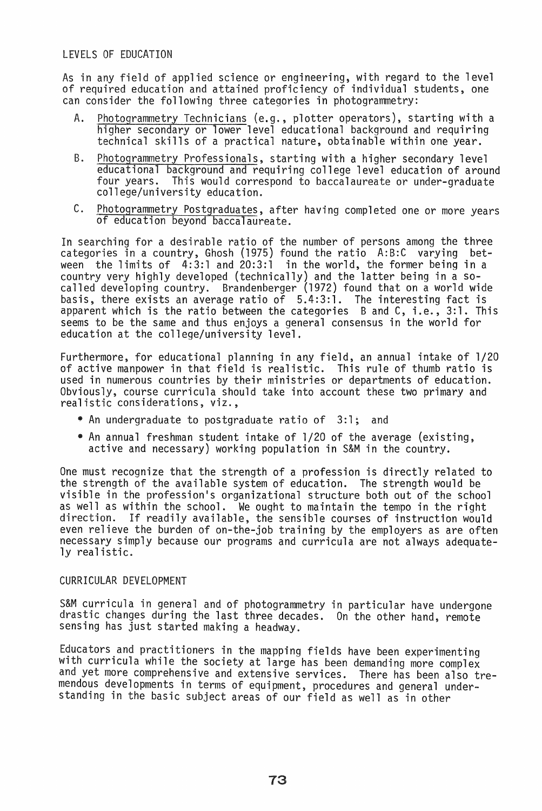# LEVELS OF EDUCATION

As in any field of applied science or engineering, with regard to the level of required education and attained proficiency of individual students, one can consider the following three categories in photogrammetry:

- A. Photogrammetry Technicians (e.g., plotter operators), starting with a higher secondary or lower level educational background and requiring technical skills of a practical nature, obtainable within one year.
- B. Photogrammetry Professionals, starting with a higher secondary level educational background and requiring college level education of around<br>four years. This would correspond to baccalaureate or under-graduate four years. This would correspond to baccalaureate or under-graduate college/university education.
- C. photogrammetry Postgraduates, after having completed one or more years of education beyond baccalaureate.

In searching for a desirable ratio of the number of persons among the three categories in a country, Ghosh (1975) found the ratio A:B:C varying between the limits of  $4:3:1$  and  $20:3:1$  in the world, the former being in a country very highly developed (technically) and the latter being in a socalled developing country. Brandenberger (1972) found that on a world wide basis, there exists an average ratio of 5.4:3:1. The interesting fact is apparent which is the ratio between the categories Band C, i.e., 3:1. This seems to be the same and thus enjoys a general consensus in the world for education at the college/university level.

Furthermore, for educational planning in any field, an annual intake of 1/20 of active manpower in that field is realistic. This rule of thumb ratio is used in numerous countries by their ministries or departments of education. Obviously, course curricula should take into account these two primary and realistic considerations, viz.,

- An undergraduate to postgraduate ratio of 3:1; and
- An annual freshman student intake of 1/20 of the average (existing, active and necessary) working population in S&M in the country.

One must recognize that the strength of a profession is directly related to the strength of the available system of education. The strength would be visible in the profession's organizational structure both out of the school as well as within the school. We ought to maintain the tempo in the right direction. If readily available, the sensible courses of instruction would even relieve the burden of on-the-job training by the employers as are often necessary simply because our programs and curricula are not always adequate- ly realistic.

## CURRICULAR DEVELOPMENT

S&M curricula in general and of photogrammetry in particular have undergone drastic changes during the last three decades. On the other hand, remote sensing has just started making a headway.

Educators and practitioners in the mapping fields have been experimenting with curricula while the society at large has been demanding more complex and yet more comprehensive and extensive services. There has been also tremendous developments in terms of equipment, procedures and general understanding in the basic subject areas of our field as well as in other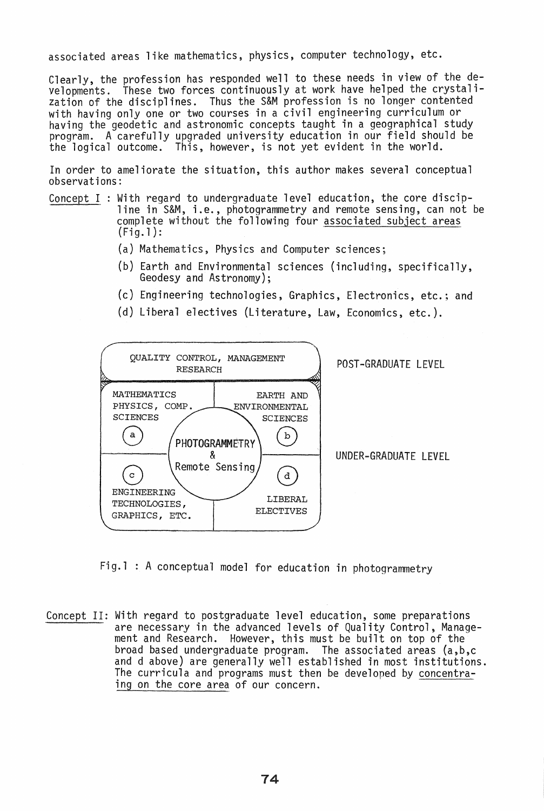associated areas like mathematics, physics, computer technology, etc.

Clearly, the profession has responded well to these needs in view of the developments. These two forces continuously at work have helped the crystali-<br>zation of the disciplines. Thus the S&M profession is no longer contented Thus the S&M profession is no longer contented with having only one or two courses in a civil engineering curriculum or having the geodetic and astronomic concepts taught in a geographical study program. A carefully upgraded university education in our field should be the logical outcome. This, however, is not yet evident in the world.

In order to ameliorate the situation, this author makes several conceptual observations:

- Concept I : With regard to undergraduate level education, the core discip-<br>line in S&M, i.e., photogrammetry and remote sensing, can not be complete without the following four associated subject areas  $(Fiq.1):$ 
	- (a) Mathematics, Physics and Computer sciences;
	- (b) Earth and Environmental sciences (including, specifically, Geodesy and Astronomy);
	- (c) Engineering technologies, Graphics, Electronics, etc.; and
	- (d) Liberal electives (Literature, Law, Economics, etc.).



Fig.l : A conceptual model for education in photogrammetry

Concept II: With regard to postgraduate level education, some preparations are necessary in the advanced levels of Quality Control, Management and Research. However, this must be built on top of the broad based undergraduate program. The associated areas (a,b,c broad based undergraduate program. and d above) are generally well established in most institutions. The curricula and programs must then be developed by concentraing on the core area of our concern.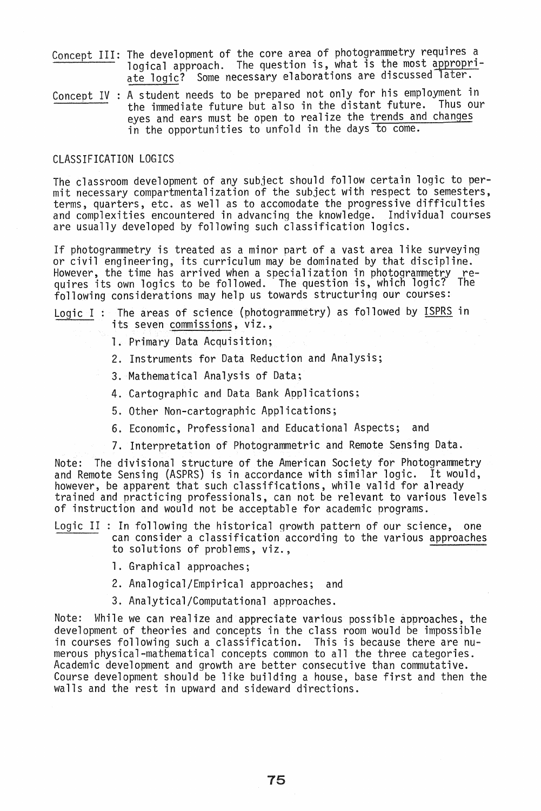- Concept III: The development of the core area of photogrammetry requires a inc acter phasic of the correction is, what is the most appropriate logic? Some necessary elaborations are discussed later.
- $\frac{\text{Concept IV}}{\text{the}}$  : A student needs to be prepared not only for his employment in the immediate future but also in the distant future. eyes and ears must be open to realize the trends and changes in the opportunities to unfold in the days to come.

## CLASSIFICATION LOGICS

The classroom development of any subject should follow certain logic to per- mit necessary compartmentalization of the subject with respect to semesters, terms, quarters, etc. as well as to accomodate the progressive difficulties and complexities encountered in advancing the knowledge. Individual courses are usually developed by following such classification logics.

If photogrammetry is treated as a minor part of a vast area like surveying or civil engineering, its curriculum may be dominated by that discipline. However, the time has arrived when a specialization in photogrammetry requires its own logics to be followed. The question is, whicn logic? The following considerations may help us towards structuring our courses:

# Logic I: The areas of science (photogrammetry) as followed by ISPRS in its seven commissions, viz.,

- 1. Primary Data Acquisition;
- 2. Instruments for Data Reduction and Analysis;
- 3. Mathematical Analysis of Data;
- 4. Cartographic and Data Bank Applications;
- 5. Other Non-cartographic Applications;
- 6. Economic, Professional and Educational Aspects; and
- 7. Interpretation of Photogrammetric and Remote Sensing Data.

Note: The divisional structure of the American Society for Photogrammetry<br>and Remote Sensing (ASPRS) is in accordance with similar logic. It would,<br>however, be apparent that such classifications, while valid for already however, all appearant that such class, can not be relevant to various levels of instruction and would not be acceptable for academic programs.

- Logic II : In following the historical growth pattern of our science, one can consider a classification according to the various approaches to solutions of problems, viz.,
	- 1. Graphical approaches;
	- 2. Analogical/Empirical approaches; and
	- 3. Analytical/Computational approaches.

Note: While we can realize and appreciate various possible approaches, the development of theories and concepts in the class room would be impossible in courses following such a classification. This is because there are numerous physical-mathematical concepts common to all the three categories.<br>Academic development and growth are better consecutive than commutative. Academic development and growth are better consecutive than commutative.<br>Course development should be like building a house, base first and then the walls and the rest in upward and sideward directions.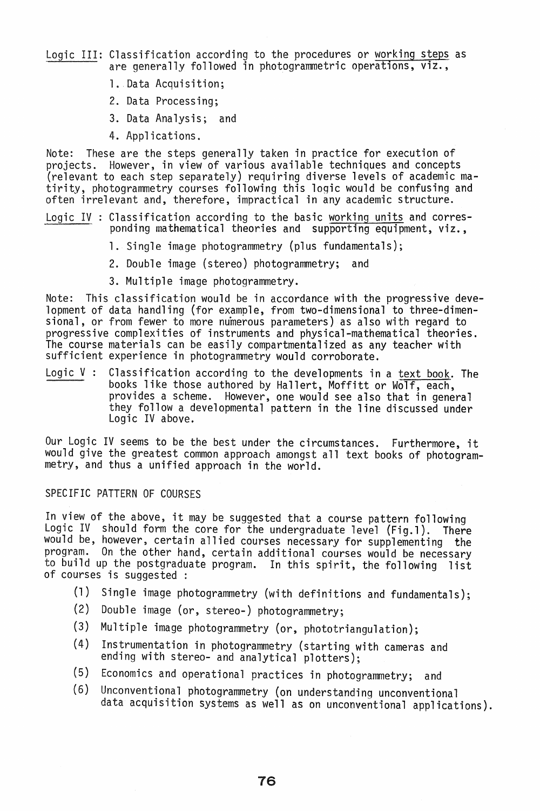Logic III: Classification according to the procedures or working steps as are generally followed in photogrammetric operations, viz.,

- 1. Data Acquisition;
- 2. Data Processing;
- 3. Data Analysis; and
- 4. Applications.

Note: These are the steps generally taken in practice for execution of projects. However, in view of various available techniques and concepts (relevant to each step separately) requiring diverse levels of academic matirity, photogrammetry courses following this logic would be confusing and often irrelevant and, therefore, impractical in any academic structure.

- Logic IV : Classification according to the basic working units and corresponding mathematical theories and supporting equipment, viz.,
	- 1. Single image photogrammetry (plus fundamentals);
	- 2. Double image (stereo) photogrammetry; and
	- 3. Multiple image photogrammetry.

Note: This classification would be in accordance with the progressive development of data handling (for example, from two-dimensional to three-dimensional, or from fewer to more numerous parameters) as also with regard to progressive complexities of instruments and physical-mathematical theories. The course materials can be easily compartmentalized as any teacher with sufficient experience in photogrammetry would corroborate.

Logic V: Classification according to the developments in a text book. The books like those authored by Hallert, Moffitt or Wolf, each, provides a scheme. However, one would see also that in general they follow a developmental pattern in the line discussed under Logic IV above.

Our Logic IV seems to be the best under the circumstances. Furthermore, it would give the greatest common approach amongst all text books of photogrammetry, and thus a unified approach in the world.

#### SPECIFIC PATTERN OF COURSES

In view of the above, it may be suggested that a course pattern following Logic IV should form the core for the undergraduate level (Fig.l). There would be, however, certain allied courses necessary for supplementing the program. On the other hand, certain additional courses would be necessary to build up the postgraduate program. In this spirit, the following list of courses is suggested :

- (1) Single image photogrammetry (with definitions and fundamentals);
- (2) Double image (or, stereo-) photogrammetry;
- (3) Multiple image photogrammetry (or, phototriangulation);
- (4) Instrumentation in photogrammetry (starting with cameras and ending with stereo- and analytical plotters);
- (5) Economics and operational practices in photogrammetry; and
- (6) Unconventional photogrammetry (on understanding unconventional data acquisition systems as well as on unconventional applications).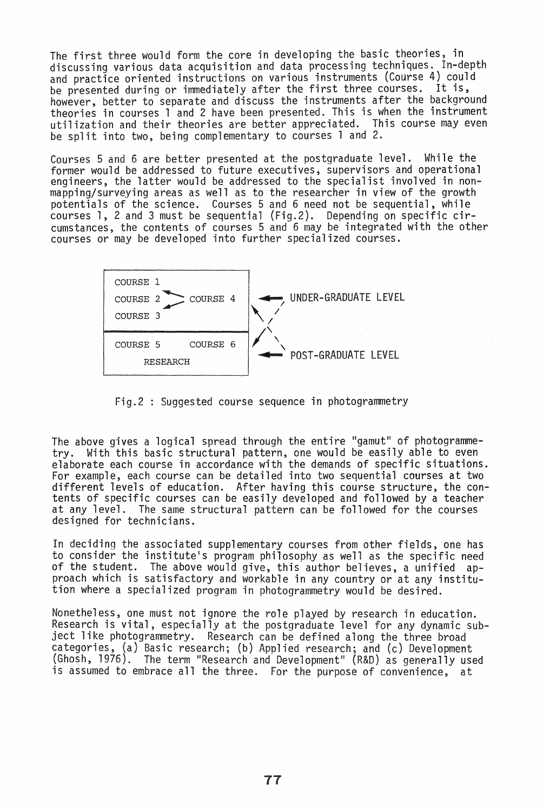The first three would form the core in developing the basic theories, in discussing various data acquisition and data processing techniques. In-depth and practice oriented instructions on various instruments (Course 4) could be presented during or immediately after the first three courses. It is, however, better to separate and discuss the instruments after the background theories in courses 1 and 2 have been presented. This is when the instrument utilization and their theories are better appreciated. This course may even be split into two, being complementary to courses 1 and 2.

Courses 5 and 6 are better presented at the postgraduate level. While the former would be addressed to future executives, supervisors and operational engineers, the latter would be addressed to the specialist involved in nonmapping/surveying areas as well as to the researcher in view of the growth potentials of the science. Courses 5 and 6 need not be sequential, while courses 1, 2 and 3 must be sequential (Fig.2). Depending on specific circumstances, the contents of courses 5 and 6 may be integrated with the other courses or may be developed into further specialized courses.



Fig.2 : Suggested course sequence in photogrammetry

The above gives a logical spread through the entire "gamut" of photogrammetry. With this basic structural pattern, one would be easily able to even elaborate each course in accordance with the demands of specific situations. For example, each course can be detailed into two sequential courses at two different levels of education. After having this course structure, the contents of specific courses can be easily developed and followed by a teacher at any level. The same structural pattern can be followed for the courses designed for technicians.

In deciding the associated supplementary courses from other fields, one has to consider the institute's program philosophy as well as the specific need of the student. The above would give, this author believes, a unified approach which is satisfactory and workable in any country or at any institution where a specialized program in photogrammetry would be desired.

Nonetheless, one must not ignore the role played by research in education. Research is vital, especially at the postgraduate level for any dynamic subject like photogrammetry. Research can be defined along the three broad categories, (a) Basic research; (b) Applied research; and (c) Development (Ghosh, 1976). The term "Research and Development" (R&D) as generally used is assumed to embrace all the three. For the purpose of convenience, at